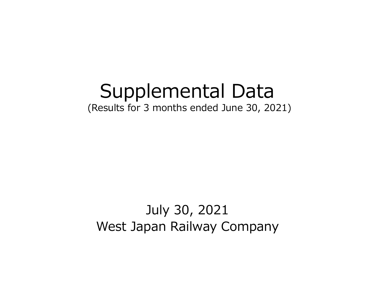# Supplemental Data (Results for 3 months ended June 30, 2021)

# July 30, 2021 West Japan Railway Company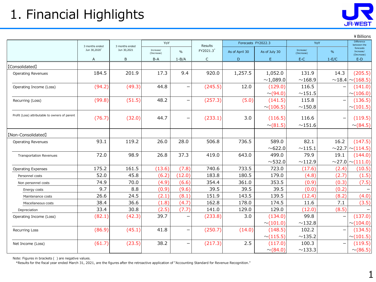

# 1. Financial Highlights

|  | ¥ Billio |
|--|----------|
|  |          |

|                                                |                          |                |                         |                          |              |                    |                |                         |                          | ¥ Billions                           |
|------------------------------------------------|--------------------------|----------------|-------------------------|--------------------------|--------------|--------------------|----------------|-------------------------|--------------------------|--------------------------------------|
|                                                | 3 months ended           | 3 months ended | YoY                     |                          | Results      | Forecasts FY2022.3 |                | YoY                     |                          | Difference<br>between the            |
|                                                | Jun 30,2020 <sup>*</sup> | Jun 30,2021    | Increase/<br>(Decrease) | $\frac{0}{0}$            | FY2021.3*    | As of April 30     | As of July 30  | Increase/<br>(Decrease) | $\%$                     | forecasts<br>Increase/<br>(Decrease) |
|                                                | A                        | B              | B-A                     | $1 - B/A$                | $\mathsf{C}$ | D                  | E              | $E-C$                   | $1-E/C$                  | $E-D$                                |
| [Consolidated]                                 |                          |                |                         |                          |              |                    |                |                         |                          |                                      |
| <b>Operating Revenues</b>                      | 184.5                    | 201.9          | 17.3                    | 9.4                      | 920.0        | 1,257.5            | 1,052.0        | 131.9                   | 14.3                     | (205.5)                              |
|                                                |                          |                |                         |                          |              |                    | ~1,089.0       | ~168.9                  |                          | $\sim$ 18.4 $\sim$ (168.5)           |
| Operating Income (Loss)                        | (94.2)                   | (49.3)         | 44.8                    | $\overline{\phantom{m}}$ | (245.5)      | 12.0               | (129.0)        | 116.5                   |                          | (141.0)                              |
|                                                |                          |                |                         |                          |              |                    | $\sim$ (94.0)  | ${\sim}151.5$           |                          | $\sim$ (106.0)                       |
| Recurring (Loss)                               | (99.8)                   | (51.5)         | 48.2                    | $\overline{\phantom{m}}$ | (257.3)      | (5.0)              | (141.5)        | 115.8                   |                          | (136.5)                              |
|                                                |                          |                |                         |                          |              |                    | $\sim$ (106.5) | $\sim$ 150.8            |                          | $\sim$ (101.5)                       |
| Profit (Loss) attributable to owners of parent | (76.7)                   | (32.0)         | 44.7                    | $\overline{\phantom{m}}$ | (233.1)      | 3.0                | (116.5)        | 116.6                   | $\overline{\phantom{0}}$ | (119.5)                              |
|                                                |                          |                |                         |                          |              |                    | $\sim (81.5)$  | $\sim$ 151.6            |                          | $\sim$ (84.5)                        |
|                                                |                          |                |                         |                          |              |                    |                |                         |                          |                                      |
| [Non-Consolidated]                             |                          |                |                         |                          |              |                    |                |                         |                          |                                      |
| <b>Operating Revenues</b>                      | 93.1                     | 119.2          | 26.0                    | 28.0                     | 506.8        | 736.5              | 589.0          | 82.1                    | 16.2                     | (147.5)                              |
|                                                |                          |                |                         |                          |              |                    | ~622.0         | $\sim$ 115.1            |                          | $\sim$ 22.7 $\sim$ (114.5)           |
| <b>Transportation Revenues</b>                 | 72.0                     | 98.9           | 26.8                    | 37.3                     | 419.0        | 643.0              | 499.0          | 79.9                    | 19.1                     | (144.0)                              |
|                                                |                          |                |                         |                          |              |                    | $\sim$ 532.0   | ~112.9                  |                          | $\sim$ 27.0 $\sim$ (111.0)           |
| <b>Operating Expenses</b>                      | 175.2                    | 161.5          | (13.6)                  | (7.8)                    | 740.6        | 733.5              | 723.0          | (17.6)                  | (2.4)                    | (10.5)                               |
| Personnel costs                                | 52.0                     | 45.8           | (6.2)                   | (12.0)                   | 183.8        | 180.5              | 179.0          | (4.8)                   | (2.7)                    | (1.5)                                |
| Non personnel costs                            | 74.9                     | 70.0           | (4.9)                   | (6.6)                    | 354.4        | 361.0              | 353.5          | (0.9)                   | (0.3)                    | (7.5)                                |
| Energy costs                                   | 9.7                      | 8.8            | (0.9)                   | (9.6)                    | 39.5         | 39.5               | 39.5           | (0.0)                   | (0.2)                    |                                      |
| Maintenance costs                              | 26.6                     | 24.5           | (2.1)                   | (8.1)                    | 151.9        | 143.5              | 139.5          | (12.4)                  | (8.2)                    | (4.0)                                |
| Miscellaneous costs                            | 38.4                     | 36.6           | (1.8)                   | (4.7)                    | 162.8        | 178.0              | 174.5          | 11.6                    | 7.1                      | (3.5)                                |
| Depreciation                                   | 33.4                     | 30.8           | (2.5)                   | (7.7)                    | 141.0        | 129.0              | 129.0          | (12.0)                  | (8.5)                    |                                      |
| Operating Income (Loss)                        | (82.1)                   | (42.3)         | 39.7                    | $\qquad \qquad -$        | (233.8)      | 3.0                | (134.0)        | 99.8                    | $\overline{\phantom{0}}$ | (137.0)                              |
|                                                |                          |                |                         |                          |              |                    | $\sim (101.0)$ | ~132.8                  |                          | $\sim$ (104.0)                       |
| Recurring Loss                                 | (86.9)                   | (45.1)         | 41.8                    | $\overline{\phantom{m}}$ | (250.7)      | (14.0)             | (148.5)        | 102.2                   | $\qquad \qquad -$        | (134.5)                              |
|                                                |                          |                |                         |                          |              |                    | $\sim$ (115.5) | ~135.2                  |                          | $\sim$ (101.5)                       |
| Net Income (Loss)                              | (61.7)                   | (23.5)         | 38.2                    | $\overline{\phantom{m}}$ | (217.3)      | 2.5                | (117.0)        | 100.3                   |                          | (119.5)                              |
|                                                |                          |                |                         |                          |              |                    | $\sim$ (84.0)  | ~133.3                  |                          | $\sim$ (86.5)                        |

Note: Figures in brackets ( ) are negative values.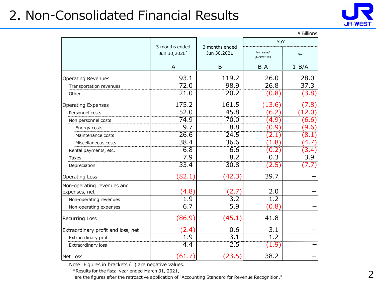#### 2. Non-Consolidated Financial Results



|                                    |                                            |                               |                         | ¥ Billions       |
|------------------------------------|--------------------------------------------|-------------------------------|-------------------------|------------------|
|                                    |                                            |                               | YoY                     |                  |
|                                    | 3 months ended<br>Jun 30,2020 <sup>*</sup> | 3 months ended<br>Jun 30,2021 | Increase/<br>(Decrease) | $\frac{0}{0}$    |
|                                    | A                                          | B                             | $B-A$                   | $1 - B/A$        |
| <b>Operating Revenues</b>          | 93.1                                       | 119.2                         | 26.0                    | 28.0             |
| Transportation revenues            | 72.0                                       | 98.9                          | 26.8                    | 37.3             |
| Other                              | 21.0                                       | 20.2                          | (0.8)                   | (3.8)            |
| <b>Operating Expenses</b>          | 175.2                                      | 161.5                         | (13.6)                  | 7.8              |
| Personnel costs                    | 52.0                                       | 45.8                          | 6.2)                    | 12.0             |
| Non personnel costs                | 74.9                                       | 70.0                          | (4.9)                   | (6.6)            |
| Energy costs                       | 9.7                                        | 8.8                           | (0.9)                   | (9.6)            |
| Maintenance costs                  | 26.6                                       | 24.5                          | 2.1                     | (8.1)            |
| Miscellaneous costs                | 38.4                                       | 36.6                          | (1.8)                   | $\overline{4.7}$ |
| Rental payments, etc.              | 6.8                                        | 6.6                           | (0.2)                   | (3.4)            |
| Taxes                              | 7.9                                        | 8.2                           | 0.3                     | 3.9              |
| Depreciation                       | 33.4                                       | 30.8                          | (2.5)                   | (7.7             |
| <b>Operating Loss</b>              | (82.1)                                     | (42.3)                        | 39.7                    |                  |
| Non-operating revenues and         |                                            |                               |                         |                  |
| expenses, net                      | (4.8)                                      | 2.7                           | 2.0                     |                  |
| Non-operating revenues             | 1.9                                        | $\overline{3.2}$              | $\overline{1.2}$        |                  |
| Non-operating expenses             | 6.7                                        | $\overline{5.9}$              | (0.8)                   |                  |
| Recurring Loss                     | (86.9)                                     | (45.1)                        | 41.8                    |                  |
| Extraordinary profit and loss, net | (2.4)                                      | 0.6                           | 3.1                     |                  |
| Extraordinary profit               | 1.9                                        | $\overline{3.1}$              | $\overline{1.2}$        |                  |
| Extraordinary loss                 | 4.4                                        | 2.5                           | (1.9)                   |                  |
| Net Loss                           | (61.7)                                     | (23.5)                        | 38.2                    |                  |

Note: Figures in brackets ( ) are negative values.

\*Results for the fiscal year ended March 31, 2021,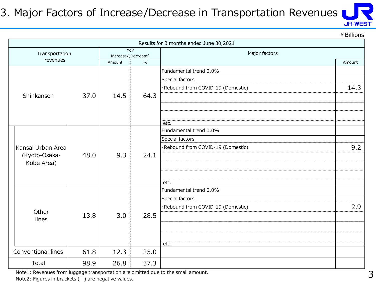#### 3. Major Factors of Increase/Decrease in Transportation Revenues



¥Billions

|                    |      |                     |             | Results for 3 months ended June 30,2021 |      |  |
|--------------------|------|---------------------|-------------|-----------------------------------------|------|--|
| Transportation     |      | Increase/(Decrease) | YoY         | Major factors                           |      |  |
| revenues           |      | $\%$<br>Amount      |             |                                         |      |  |
|                    |      |                     |             | Fundamental trend 0.0%                  |      |  |
|                    |      |                     |             | Special factors                         |      |  |
|                    |      |                     |             | ·Rebound from COVID-19 (Domestic)       | 14.3 |  |
| Shinkansen         | 37.0 | 14.5                | 64.3        |                                         |      |  |
|                    |      |                     |             |                                         |      |  |
|                    |      |                     |             |                                         |      |  |
|                    |      |                     |             | etc.                                    |      |  |
|                    | 48.0 |                     |             | Fundamental trend 0.0%                  |      |  |
|                    |      |                     | 9.3<br>24.1 | Special factors                         |      |  |
| Kansai Urban Area  |      |                     |             | ·Rebound from COVID-19 (Domestic)       | 9.2  |  |
| (Kyoto-Osaka-      |      |                     |             |                                         |      |  |
| Kobe Area)         |      |                     |             |                                         |      |  |
|                    |      |                     |             |                                         |      |  |
|                    |      |                     |             | etc.                                    |      |  |
|                    |      |                     |             | Fundamental trend 0.0%                  |      |  |
|                    |      |                     |             | Special factors                         |      |  |
| Other              |      |                     |             | ·Rebound from COVID-19 (Domestic)       | 2.9  |  |
| lines              | 13.8 | 3.0                 | 28.5        |                                         |      |  |
|                    |      |                     |             |                                         |      |  |
|                    |      |                     |             |                                         |      |  |
|                    |      |                     |             | etc.                                    |      |  |
| Conventional lines | 61.8 | 12.3                | 25.0        |                                         |      |  |
| Total              | 98.9 | 26.8                | 37.3        |                                         |      |  |

Note1: Revenues from luggage transportation are omitted due to the small amount.

Note2: Figures in brackets () are negative values.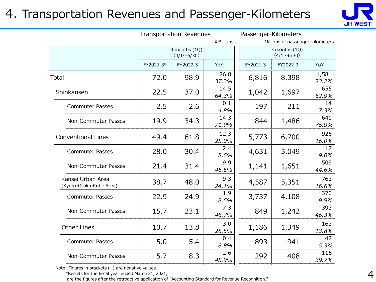#### 4. Transportation Revenues and Passenger-Kilometers



|                                              | <b>Transportation Revenues</b> |                                    |               | Passenger-Kilometers |                                    |                |  |
|----------------------------------------------|--------------------------------|------------------------------------|---------------|----------------------|------------------------------------|----------------|--|
|                                              |                                | ¥ Billions                         |               |                      | Millions of passenger-kilometers   |                |  |
|                                              |                                | 3 months (1Q)<br>$(4/1 \sim 6/30)$ |               |                      | 3 months (1Q)<br>$(4/1 \sim 6/30)$ |                |  |
|                                              | FY2021.3*                      | FY2022.3                           | YoY           | FY2021.3             | FY2022.3                           | YoY            |  |
| Total                                        | 72.0                           | 98.9                               | 26.8<br>37.3% | 6,816                | 8,398                              | 1,581<br>23.2% |  |
| Shinkansen                                   | 22.5                           | 37.0                               | 14.5<br>64.3% | 1,042                | 1,697                              | 655<br>62.9%   |  |
| <b>Commuter Passes</b>                       | 2.5                            | 2.6                                | 0.1<br>4.8%   | 197                  | 211                                | 14<br>7.3%     |  |
| Non-Commuter Passes                          | 19.9                           | 34.3                               | 14.3<br>71.9% | 844                  | 1,486                              | 641<br>75.9%   |  |
| <b>Conventional Lines</b>                    | 49.4                           | 61.8                               | 12.3<br>25.0% | 5,773                | 6,700                              | 926<br>16.0%   |  |
| <b>Commuter Passes</b>                       | 28.0                           | 30.4                               | 2.4<br>8.6%   | 4,631                | 5,049                              | 417<br>9.0%    |  |
| Non-Commuter Passes                          | 21.4                           | 31.4                               | 9.9<br>46.5%  | 1,141                | 1,651                              | 509<br>44.6%   |  |
| Kansai Urban Area<br>(Kyoto-Osaka-Kobe Area) | 38.7                           | 48.0                               | 9.3<br>24.1%  | 4,587                | 5,351                              | 763<br>16.6%   |  |
| <b>Commuter Passes</b>                       | 22.9                           | 24.9                               | 1.9<br>8.6%   | 3,737                | 4,108                              | 370<br>9.9%    |  |
| Non-Commuter Passes                          | 15.7                           | 23.1                               | 7.3<br>46.7%  | 849                  | 1,242                              | 393<br>46.3%   |  |
| <b>Other Lines</b>                           | 10.7                           | 13.8                               | 3.0<br>28.5%  | 1,186                | 1,349                              | 163<br>13.8%   |  |
| <b>Commuter Passes</b>                       | 5.0                            | 5.4                                | 0.4<br>8.8%   | 893                  | 941                                | 47<br>5.3%     |  |
| Non-Commuter Passes                          | 5.7                            | 8.3                                | 2.6<br>45.9%  | 292                  | 408                                | 116<br>39.7%   |  |

Note: Figures in brackets ( ) are negative values.

\*Results for the fiscal year ended March 31, 2021,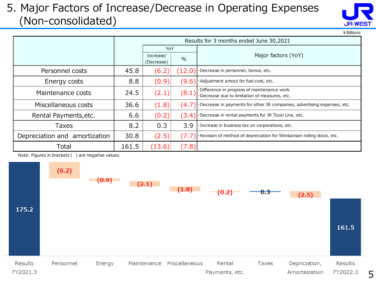#### 5. Major Factors of Increase/Decrease in Operating Expenses (Non-consolidated)



¥Billions

|                               | Results for 3 months ended June 30,2021 |                         |        |                                                                                              |  |  |
|-------------------------------|-----------------------------------------|-------------------------|--------|----------------------------------------------------------------------------------------------|--|--|
|                               |                                         | YoY                     |        |                                                                                              |  |  |
|                               |                                         | Increase/<br>(Decrease) | $\%$   | Major factors (YoY)                                                                          |  |  |
| Personnel costs               | 45.8                                    | (6.2)                   | (12.0) | ·Decrease in personnel, bonus, etc.                                                          |  |  |
| Energy costs                  | 8.8                                     | (0.9)                   | (9.6)  | . Adjustment amout for fuel cost, etc.                                                       |  |  |
| Maintenance costs             | 24.5                                    | (2.1)<br>(8.1)          |        | ·Difference in progress of maintenance work<br>·Decrease due to limitation of measures, etc. |  |  |
| Miscellaneous costs           | 36.6                                    | (1.8)                   | (4.7)  | ·Decrease in payments for other JR companies, advertising expenses, etc.                     |  |  |
| Rental Payments, etc.         | 6.6                                     | (0.2)                   |        | $(3.4)$ $\cdot$ Decrease in rental payments for JR Tozai Line, etc.                          |  |  |
| Taxes                         | 8.2                                     | 0.3                     | 3.9    | . Increase in business tax on corporations, etc.                                             |  |  |
| Depreciation and amortization | 30.8                                    | (2.5)                   | (7.7)  | $\cdot$ Revision of method of depreciation for Shinkansen rolling stock, etc.                |  |  |
| Total                         | 161.5                                   | (13.6)                  | (7.8)  |                                                                                              |  |  |

Note: Figures in brackets ( ) are negative values.

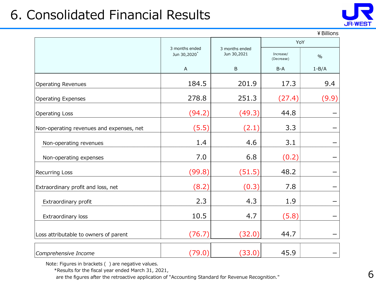## 6. Consolidated Financial Results



¥Billions

|                                          |                                            |                               | YoY                     |           |  |
|------------------------------------------|--------------------------------------------|-------------------------------|-------------------------|-----------|--|
|                                          | 3 months ended<br>Jun 30,2020 <sup>*</sup> | 3 months ended<br>Jun 30,2021 | Increase/<br>(Decrease) | $\%$      |  |
|                                          | $\mathsf{A}$                               | B                             | $B-A$                   | $1 - B/A$ |  |
| <b>Operating Revenues</b>                | 184.5                                      | 201.9                         | 17.3                    | 9.4       |  |
| <b>Operating Expenses</b>                | 278.8                                      | 251.3                         | (27.4)                  | (9.9)     |  |
| Operating Loss                           | (94.2)                                     | (49.3)                        | 44.8                    |           |  |
| Non-operating revenues and expenses, net | (5.5)                                      | (2.1)                         | 3.3                     |           |  |
| Non-operating revenues                   | 1.4                                        | 4.6                           | 3.1                     |           |  |
| Non-operating expenses                   | 7.0                                        | 6.8                           | (0.2)                   |           |  |
| Recurring Loss                           | (99.8)                                     | (51.5)                        | 48.2                    |           |  |
| Extraordinary profit and loss, net       | (8.2)                                      | (0.3)                         | 7.8                     |           |  |
| Extraordinary profit                     | 2.3                                        | 4.3                           | 1.9                     |           |  |
| Extraordinary loss                       | 10.5                                       | 4.7                           | (5.8)                   |           |  |
| Loss attributable to owners of parent    | (76.7)                                     | (32.0)                        | 44.7                    |           |  |
| Comprehensive Income                     | (79.0)                                     | (33.0)                        | 45.9                    |           |  |

Note: Figures in brackets ( ) are negative values.

\*Results for the fiscal year ended March 31, 2021,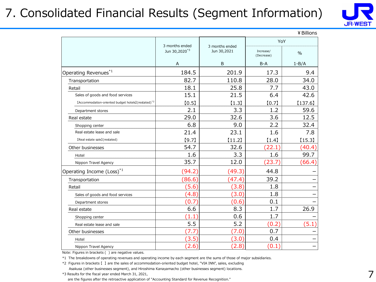#### 7. Consolidated Financial Results (Segment Information)



|                                                                 |                           |                |                         | ¥ Billions |
|-----------------------------------------------------------------|---------------------------|----------------|-------------------------|------------|
|                                                                 | 3 months ended            | 3 months ended | YoY                     |            |
|                                                                 | Jun 30,2020 <sup>*3</sup> | Jun 30,2021    | Increase/<br>(Decrease) | $\%$       |
|                                                                 | A                         | B              | $B-A$                   | $1 - B/A$  |
| Operating Revenues*1                                            | 184.5                     | 201.9          | 17.3                    | 9.4        |
| Transportation                                                  | 82.7                      | 110.8          | 28.0                    | 34.0       |
| Retail                                                          | 18.1                      | 25.8           | 7.7                     | 43.0       |
| Sales of goods and food services                                | 15.1                      | 21.5           | 6.4                     | 42.6       |
| [Accommodation-oriented budget hotels] (restated) <sup>*2</sup> | [0.5]                     | $[1.3]$        | [0.7]                   | [137.6]    |
| Department stores                                               | 2.1                       | 3.3            | 1.2                     | 59.6       |
| Real estate                                                     | 29.0                      | 32.6           | 3.6                     | 12.5       |
| Shopping center                                                 | 6.8                       | 9.0            | 2.2                     | 32.4       |
| Real estate lease and sale                                      | 21.4                      | 23.1           | 1.6                     | 7.8        |
| [Real estate sale](restated)                                    | [9.7]                     | $[11.2]$       | (1.4)                   | [15.3]     |
| Other businesses                                                | 54.7                      | 32.6           | (22.1)                  | (40.4)     |
| Hotel                                                           | 1.6                       | 3.3            | 1.6                     | 99.7       |
| Nippon Travel Agency                                            | 35.7                      | 12.0           | (23.7)                  | (66.4)     |
| Operating Income (Loss) <sup>*1</sup>                           | (94.2)                    | (49.3)         | 44.8                    |            |
| Transportation                                                  | (86.6)                    | (47.4)         | 39.2                    |            |
| Retail                                                          | (5.6)                     | (3.8)          | 1.8                     |            |
| Sales of goods and food services                                | (4.8)                     | (3.0)          | 1.8                     |            |
| Department stores                                               | (0.7)                     | (0.6)          | 0.1                     |            |
| Real estate                                                     | 6.6                       | 8.3            | 1.7                     | 26.9       |
| Shopping center                                                 | $\left( 1.1\right)$       | 0.6            | 1.7                     |            |
| Real estate lease and sale                                      | 5.5                       | 5.2            | (0.2)                   | (5.1)      |
| Other businesses                                                | 7.7                       | (7.0)          | 0.7                     |            |
| Hotel                                                           | (3.5)                     | (3.0)          | 0.4                     |            |
| Nippon Travel Agency                                            | (2.6)                     | (2.8)          | (0.1)                   |            |

Note: Figures in brackets ( ) are negative values.

\*1 The breakdowns of operating revenues and operating income by each segment are the sums of those of major subsidiaries.

\*2 Figures in brackets 【 】 are the sales of accommodation-oriented budget hotel, "VIA INN", sales, excluding Asakusa (other businesses segment), and Hiroshima Kanayamacho (other businesses segment) locations.

\*3 Results for the fiscal year ended March 31, 2021,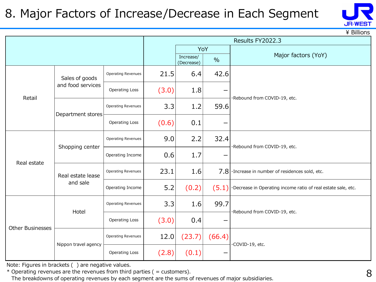#### 8. Major Factors of Increase/Decrease in Each Segment



\ Billions

|                         |                      |                           |       | Results FY2022.3        |               |                                                               |  |  |  |
|-------------------------|----------------------|---------------------------|-------|-------------------------|---------------|---------------------------------------------------------------|--|--|--|
|                         |                      |                           |       |                         | YoY           |                                                               |  |  |  |
|                         |                      |                           |       | Increase/<br>(Decrease) | $\frac{0}{0}$ | Major factors (YoY)                                           |  |  |  |
|                         | Sales of goods       | <b>Operating Revenues</b> | 21.5  | 6.4                     | 42.6          |                                                               |  |  |  |
| Retail                  | and food services    | <b>Operating Loss</b>     | (3.0) | 1.8                     |               | ·Rebound from COVID-19, etc.                                  |  |  |  |
|                         | Department stores    | Operating Revenues        | 3.3   | 1.2                     | 59.6          |                                                               |  |  |  |
|                         |                      | Operating Loss            | (0.6) | 0.1                     |               |                                                               |  |  |  |
|                         | Shopping center      | Operating Revenues        | 9.0   | 2.2                     | 32.4          | ·Rebound from COVID-19, etc.                                  |  |  |  |
| Real estate             |                      | Operating Income          | 0.6   | 1.7                     |               |                                                               |  |  |  |
|                         | Real estate lease    | Operating Revenues        | 23.1  | 1.6                     |               | $7.8$ . Increase in number of residences sold, etc.           |  |  |  |
|                         | and sale             | Operating Income          | 5.2   | (0.2)                   | (5.1)         | ·Decrease in Operating income ratio of real estate sale, etc. |  |  |  |
|                         | Hotel                | Operating Revenues        | 3.3   | 1.6                     | 99.7          | ·Rebound from COVID-19, etc.                                  |  |  |  |
| <b>Other Businesses</b> |                      | <b>Operating Loss</b>     | (3.0) | 0.4                     |               |                                                               |  |  |  |
|                         | Nippon travel agency | Operating Revenues        | 12.0  | (23.7)                  | (66.4)        | ·COVID-19, etc.                                               |  |  |  |
|                         |                      | Operating Loss            | (2.8) | (0.1)                   |               |                                                               |  |  |  |

Note: Figures in brackets ( ) are negative values.

 $*$  Operating revenues are the revenues from third parties ( = customers).

The breakdowns of operating revenues by each segment are the sums of revenues of major subsidiaries.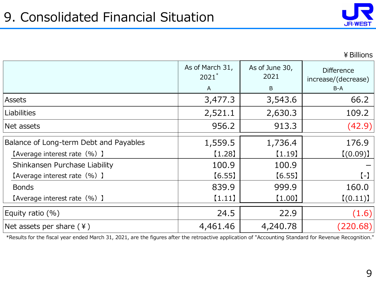

¥Billions

|                                        | As of March 31,<br>$2021$ *<br>$\mathsf{A}$ | As of June 30,<br>2021<br>B | <b>Difference</b><br>increase/(decrease)<br>$B-A$ |
|----------------------------------------|---------------------------------------------|-----------------------------|---------------------------------------------------|
| Assets                                 | 3,477.3                                     | 3,543.6                     | 66.2                                              |
| Liabilities                            | 2,521.1                                     | 2,630.3                     | 109.2                                             |
| Net assets                             | 956.2                                       | 913.3                       | (42.9)                                            |
| Balance of Long-term Debt and Payables | 1,559.5                                     | 1,736.4                     | 176.9                                             |
| [Average interest rate (%) ]           | $[1.28]$                                    | (1.19)                      | [(0.09)]                                          |
| Shinkansen Purchase Liability          | 100.9                                       | 100.9                       |                                                   |
| [Average interest rate (%) ]           | [6.55]                                      | [6.55]                      | $(-)$                                             |
| <b>Bonds</b>                           | 839.9                                       | 999.9                       | 160.0                                             |
| (Average interest rate (%) ]           | (1.11)                                      | $[1.00]$                    | [(0.11)]                                          |
| Equity ratio (%)                       | 24.5                                        | 22.9                        | (1.6)                                             |
| Net assets per share $(4)$             | 4,461.46                                    | 4,240.78                    | (220.68)                                          |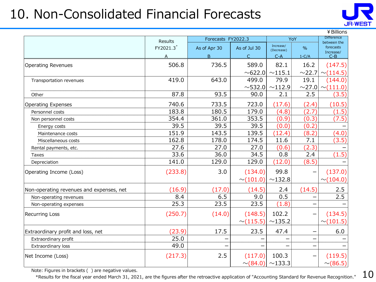## 10. Non-Consolidated Financial Forecasts



|                                          | <b>Results</b> | Forecasts FY2022.3 |                |                         | YoY                      | <b>Difference</b><br>between the |  |
|------------------------------------------|----------------|--------------------|----------------|-------------------------|--------------------------|----------------------------------|--|
|                                          | FY2021.3*      | As of Apr 30       | As of Jul 30   | Increase/<br>(Decrease) | $\frac{0}{0}$            | forecasts                        |  |
|                                          | A              | B                  | $\mathsf{C}$   | $C-A$                   | $1-C/A$                  | Increase/<br>$C-B$               |  |
| <b>Operating Revenues</b>                | 506.8          | 736.5              | 589.0          | 82.1                    | 16.2                     | (147.5)                          |  |
|                                          |                |                    | ~0.622.0       | ~115.1                  | ~22.7                    | $\sim$ (114.5)                   |  |
| Transportation revenues                  | 419.0          | 643.0              | 499.0          | 79.9                    | 19.1                     | (144.0)                          |  |
|                                          |                |                    | $\sim$ 532.0   | $\sim$ 112.9            | $\sim$ 27.0              | $\sim$ (111.0)                   |  |
| Other                                    | 87.8           | 93.5               | 90.0           | 2.1                     | 2.5                      | (3.5)                            |  |
| <b>Operating Expenses</b>                | 740.6          | 733.5              | 723.0          | (17.6)                  | (2.4)                    | (10.5)                           |  |
| Personnel costs                          | 183.8          | 180.5              | 179.0          | (4.8)                   | (2.7)                    | (1.5)                            |  |
| Non personnel costs                      | 354.4          | 361.0              | 353.5          | (0.9)                   | (0.3)                    | (7.5)                            |  |
| Energy costs                             | 39.5           | 39.5               | 39.5           | (0.0)                   | (0.2)                    |                                  |  |
| Maintenance costs                        | 151.9          | 143.5              | 139.5          | (12.4)                  | (8.2)                    | (4.0)                            |  |
| Miscellaneous costs                      | 162.8          | 178.0              | 174.5          | 11.6                    | 7.1                      | (3.5)                            |  |
| Rental payments, etc.                    | 27.6           | 27.0               | 27.0           | (0.6)                   | (2.3)                    |                                  |  |
| Taxes                                    | 33.6           | 36.0               | 34.5           | 0.8                     | 2.4                      | (1.5)                            |  |
| Depreciation                             | 141.0          | 129.0              | 129.0          | (12.0)                  | (8.5)                    |                                  |  |
| Operating Income (Loss)                  | (233.8)        | 3.0                | (134.0)        | 99.8                    |                          | (137.0)                          |  |
|                                          |                |                    | $\sim$ (101.0) | ~132.8                  |                          | $\sim$ (104.0)                   |  |
| Non-operating revenues and expenses, net | (16.9)         | (17.0)             | (14.5)         | 2.4                     | (14.5)                   | 2.5                              |  |
| Non-operating revenues                   | 8.4            | 6.5                | 9.0            | 0.5                     |                          | 2.5                              |  |
| Non-operating expenses                   | 25.3           | 23.5               | 23.5           | (1.8)                   |                          |                                  |  |
| Recurring Loss                           | (250.7)        | (14.0)             | (148.5)        | 102.2                   | —                        | (134.5)                          |  |
|                                          |                |                    | $\sim$ (115.5) | ~135.2                  |                          | $\sim$ (101.5)                   |  |
| Extraordinary profit and loss, net       | (23.9)         | 17.5               | 23.5           | 47.4                    |                          | 6.0                              |  |
| Extraordinary profit                     | 25.0           |                    |                |                         |                          |                                  |  |
| Extraordinary loss                       | 49.0           |                    |                |                         | -                        |                                  |  |
| Net Income (Loss)                        | (217.3)        | 2.5                | (117.0)        | 100.3                   | $\overline{\phantom{0}}$ | (119.5)                          |  |
|                                          |                |                    | $\sim (84.0)$  | ~133.3                  |                          | $\sim (86.5)$                    |  |

Note: Figures in brackets ( ) are negative values.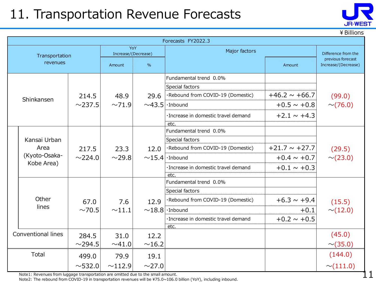### 11. Transportation Revenue Forecasts

|  | ¥ Billions                            |              |                              |               |                                      |                    |                                          |  |  |
|--|---------------------------------------|--------------|------------------------------|---------------|--------------------------------------|--------------------|------------------------------------------|--|--|
|  | Forecasts FY2022.3                    |              |                              |               |                                      |                    |                                          |  |  |
|  | Transportation                        |              | YoY<br>Increase/(Decrease)   |               | Major factors                        |                    | Difference from the<br>previous forecast |  |  |
|  | revenues                              |              | Amount                       | $\frac{9}{6}$ |                                      | Amount             | Increase/(Decrease)                      |  |  |
|  |                                       |              |                              |               | Fundamental trend 0.0%               |                    |                                          |  |  |
|  |                                       |              |                              |               | Special factors                      |                    |                                          |  |  |
|  | Shinkansen                            | 214.5        | 48.9                         | 29.6          | ·Rebound from COVID-19 (Domestic)    | $+46.2 \sim +66.7$ | (99.0)                                   |  |  |
|  |                                       | $\sim$ 237.5 | ~1.9                         |               | $\sim$ 43.5   Inbound                | $+0.5 \sim +0.8$   | $\sim$ (76.0)                            |  |  |
|  |                                       |              |                              |               | · Increase in domestic travel demand | $+2.1 \sim +4.3$   |                                          |  |  |
|  |                                       |              |                              |               | etc.                                 |                    |                                          |  |  |
|  | Kansai Urban<br>Area<br>(Kyoto-Osaka- |              |                              |               | Fundamental trend 0.0%               |                    |                                          |  |  |
|  |                                       |              | 217.5<br>23.3<br>$\sim$ 29.8 | 12.0          | Special factors                      |                    |                                          |  |  |
|  |                                       | $\sim$ 224.0 |                              |               | ·Rebound from COVID-19 (Domestic)    | $+21.7 \sim +27.7$ | (29.5)<br>$\sim$ (23.0)                  |  |  |
|  |                                       |              |                              |               | $\sim$ 15.4   Inbound                | $+0.4 \sim +0.7$   |                                          |  |  |
|  | Kobe Area)                            |              |                              |               | ·Increase in domestic travel demand  | $+0.1 \sim +0.3$   |                                          |  |  |
|  |                                       |              |                              |               | etc.                                 |                    |                                          |  |  |
|  |                                       |              |                              |               | Fundamental trend 0.0%               |                    |                                          |  |  |
|  |                                       |              |                              |               | Special factors                      |                    |                                          |  |  |
|  | Other                                 | 67.0         | 7.6                          | 12.9          | ·Rebound from COVID-19 (Domestic)    | $+6.3 \sim +9.4$   | (15.5)                                   |  |  |
|  | lines                                 | $\sim$ 70.5  | $\sim$ 11.1                  |               | $\sim$ 18.8   · Inbound              | $+0.1$             | $\sim$ (12.0)                            |  |  |
|  |                                       |              |                              |               | ·Increase in domestic travel demand  | $+0.2 \sim +0.5$   |                                          |  |  |
|  |                                       |              |                              |               | etc.                                 |                    |                                          |  |  |
|  | Conventional lines                    | 284.5        | 31.0                         | 12.2          |                                      |                    | (45.0)                                   |  |  |
|  |                                       | $\sim$ 294.5 | ~0.41.0                      | ~16.2         |                                      |                    | $\sim$ (35.0)                            |  |  |
|  | Total                                 | 499.0        | 79.9                         | 19.1          |                                      |                    | (144.0)                                  |  |  |
|  |                                       | $\sim$ 532.0 | ~112.9                       | $\sim$ 27.0   |                                      |                    | $\sim$ (111.0)                           |  |  |

Note1: Revenues from luggage transportation are omitted due to the small amount.

Note2: The rebound from COVID-19 in transportation revenues will be ¥75.0~106.0 billion (YoY), including inbound.

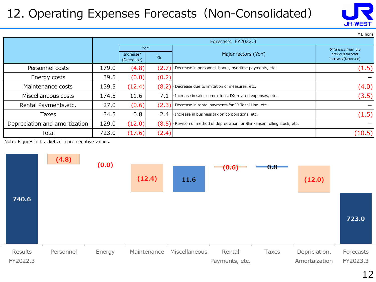#### 12. Operating Expenses Forecasts (Non-Consolidated)

|                               |                    |            |       |                                                                                              | ¥ Billions          |  |  |
|-------------------------------|--------------------|------------|-------|----------------------------------------------------------------------------------------------|---------------------|--|--|
|                               | Forecasts FY2022.3 |            |       |                                                                                              |                     |  |  |
|                               |                    | YoY        |       |                                                                                              | Difference from the |  |  |
|                               |                    | Increase/  | $\%$  | Major factors (YoY)                                                                          | previous forecast   |  |  |
|                               |                    | (Decrease) |       |                                                                                              | Increase/(Decrease) |  |  |
| Personnel costs               | 179.0              | (4.8)      | (2.7  | Decrease in personnel, bonus, overtime payments, etc.                                        | (1.5)               |  |  |
| Energy costs                  | 39.5               | (0.0)      | (0.2) |                                                                                              |                     |  |  |
| Maintenance costs             | 139.5              | (12.4)     | (8.2  | ·Decrease due to limitation of measures, etc.                                                | (4.0)               |  |  |
| Miscellaneous costs           | 174.5              | 11.6       | 7.1   | Increase in sales commisions, DX related expenses, etc.                                      | (3.5)               |  |  |
| Rental Payments, etc.         | 27.0               | (0.6)      | (2.3) | $\cdot$ Decrease in rental payments for JR Tozai Line, etc.                                  |                     |  |  |
| Taxes                         | 34.5               | 0.8        | 2.4   | Increase in business tax on corporations, etc.                                               | (1.5)               |  |  |
| Depreciation and amortization | 129.0              | (12.0)     | (8.5) | $\left  \cdot \right $ Revision of method of depreciation for Shinkansen rolling stock, etc. |                     |  |  |
| Total                         | 723.0              | (17.6)     | (2.4) |                                                                                              | (10.5)              |  |  |

Note: Figures in brackets ( ) are negative values.



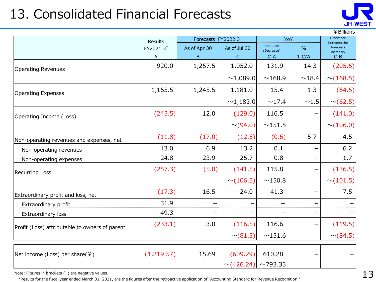## 13. Consolidated Financial Forecasts



|                                                | Results    | Forecasts FY2022.3 |                 | YoY                     | <b>Difference</b><br>between the |                        |
|------------------------------------------------|------------|--------------------|-----------------|-------------------------|----------------------------------|------------------------|
|                                                | FY2021.3*  | As of Apr 30       | As of Jul 30    | Increase/<br>(Decrease) | $\%$                             | forecasts<br>Increase/ |
|                                                | A          | B                  | $\mathsf{C}$    | $C-A$                   | $1-C/A$                          | $C-B$                  |
| <b>Operating Revenues</b>                      | 920.0      | 1,257.5            | 1,052.0         | 131.9                   | 14.3                             | (205.5)                |
|                                                |            |                    | ~1,089.0        | ~168.9                  | ~18.4                            | $\sim$ (168.5)         |
| <b>Operating Expenses</b>                      | 1,165.5    | 1,245.5            | 1,181.0         | 15.4                    | 1.3                              | (64.5)                 |
|                                                |            |                    | $\sim$ 1,183.0  | ~17.4                   | ${\sim}1.5$                      | $\sim$ (62.5)          |
| Operating Income (Loss)                        | (245.5)    | 12.0               | (129.0)         | 116.5                   |                                  | (141.0)                |
|                                                |            |                    | $\sim$ (94.0)   | ~151.5                  |                                  | $\sim$ (106.0)         |
| Non-operating revenues and expenses, net       | (11.8)     | (17.0)             | (12.5)          | (0.6)                   | 5.7                              | 4.5                    |
| Non-operating revenues                         | 13.0       | 6.9                | 13.2            | 0.1                     |                                  | 6.2                    |
| Non-operating expenses                         | 24.8       | 23.9               | 25.7            | 0.8                     |                                  | 1.7                    |
| <b>Recurring Loss</b>                          | (257.3)    | (5.0)              | (141.5)         | 115.8                   |                                  | (136.5)                |
|                                                |            |                    | $\sim$ (106.5)  | $\sim$ 150.8            |                                  | $\sim$ (101.5)         |
| Extraordinary profit and loss, net             | (17.3)     | 16.5               | 24.0            | 41.3                    |                                  | 7.5                    |
| Extraordinary profit                           | 31.9       |                    |                 |                         |                                  |                        |
| Extraordinary loss                             | 49.3       |                    |                 |                         |                                  |                        |
| Profit (Loss) attributable to owners of parent | (233.1)    | 3.0                | (116.5)         | 116.6                   |                                  | (119.5)                |
|                                                |            |                    | $\sim$ (81.5)   | $\sim$ 151.6            |                                  | $\sim$ (84.5)          |
|                                                | (1,219.57) | 15.69              | (609.29)        | 610.28                  |                                  |                        |
| Net income (Loss) per share(¥)                 |            |                    | $\sim$ (426.24) | $\sim$ 793.33           |                                  |                        |

Note: Figures in brackets ( ) are negative values.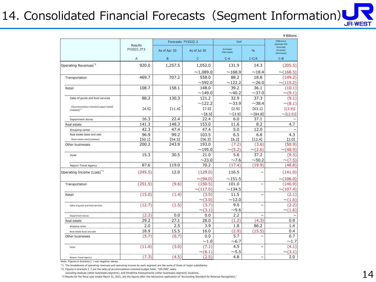# 14. Consolidated Financial Forecasts (Segment Information)

|                                                                     |                       |                    |                |                         |                           | ¥ Billions                           |
|---------------------------------------------------------------------|-----------------------|--------------------|----------------|-------------------------|---------------------------|--------------------------------------|
|                                                                     |                       | Forecasts FY2022.3 |                | YoY                     | Difference<br>between the |                                      |
|                                                                     | Results<br>FY2021.3*3 | As of Apr 30       | As of Jul 30   | Increase/<br>(Decrease) | $\frac{1}{2}$             | forecasts<br>Increase/<br>(Decrease) |
|                                                                     | A                     | B                  | $\mathsf{C}$   | $C-A$                   | $1-C/A$                   | $C-B$                                |
| Operating Revenues <sup>*1</sup>                                    | 920.0                 | 1,257.5            | 1,052.0        | 131.9                   | 14.3                      | (205.5)                              |
|                                                                     |                       |                    | $\sim$ 1,089.0 | ~168.9                  | $\sim$ 18.4               | $\sim$ (168.5)                       |
| Transportation                                                      | 469.7                 | 707.2              | 558.0          | 88.2                    | 18.8                      | (149.2)                              |
|                                                                     |                       |                    | $\sim$ 592.0   | ~122.2                  | $\sim$ 26.0               | $\sim$ (115.2)                       |
| Retail                                                              | 108.7                 | 158.1              | 148.0          | 39.2                    | 36.1                      | (10.1)                               |
|                                                                     |                       |                    | ~149.0         | ~1.2                    | $\sim$ 37.0               | $\sim$ (9.1)                         |
| Sales of goods and food services                                    | 88.2                  | 130.3              | 121.2          | 32.9                    | 37.3                      | (9.1)                                |
|                                                                     |                       |                    | ~122.2         | $\sim$ 33.9             | ~1.4                      | $\sim$ (8.1)                         |
| [Accommodation-oriented budget hotels]<br>$(rested)^*$ <sup>2</sup> | [4.5]                 | [11.4]             | [7.5]          | [2.9]                   | [63.1]                    | [(3.9)]                              |
|                                                                     |                       |                    | $\sim$ [8.5]   | $\sim$ [3.9]            | $\sim$ [84.8]             | $\sim$ ((2.9))                       |
| Department stores                                                   | 16.3                  | 22.4               | 22.4           | 6.0                     | 37.1                      |                                      |
| Real estate                                                         | 141.3                 | 148.3              | 153.0          | 11.6                    | 8.2                       | 4.7                                  |
| Shopping center                                                     | 42.3                  | 47.4               | 47.4           | 5.0                     | 12.0                      |                                      |
| Real estate lease and sale                                          | 96.9                  | 99.2               | 103.5          | 6.5                     | 6.8                       | 4.3                                  |
| [Real estate sale](restated)                                        | [50.1]                | [54.3]             | [56.3]         | [6.2]                   | (12.4)                    | [2.0]                                |
| Other businesses                                                    | 200.2                 | 243.9              | 193.0          | (7.2)                   | (3.6)                     | (50.9)                               |
|                                                                     |                       |                    | ~195.0         | $\sim$ (5.2)            | $\sim$ (2.6)              | $\sim$ (48.9)                        |
| Hotel                                                               | 15.3                  | 30.5               | 21.0           | 5.6                     | 37.2                      | (9.5)                                |
|                                                                     |                       |                    | ~23.0          | $\sim$ 7.6              | $\sim$ 50.2               | $\sim$ (7.5)                         |
| Nippon Travel Agency                                                | 87.6                  | 119.0              | 70.2           | (17.4)                  | (19.9)                    | (48.8)                               |
| Operating Income (Loss) <sup>*1</sup>                               | (245.5)               | 12.0               | (129.0)        | 116.5                   |                           | (141.0)                              |
|                                                                     |                       |                    | $\sim$ (94.0)  | $\sim$ 151.5            |                           | $\sim$ (106.0)                       |
| Transportation                                                      | (251.5)               | (9.6)              | (150.5)        | 101.0                   | ÷                         | (140.9)                              |
|                                                                     |                       |                    | $\sim$ (117.0) | ~134.5                  |                           | $\sim$ (107.4)                       |
| Retail                                                              | (15.0)                | (1.4)              | (3.5)          | 11.5                    |                           | (2.1)                                |
|                                                                     |                       |                    | $\sim$ (3.0)   | $\sim$ 12.0             |                           | $\sim$ (1.6)                         |
| Sales of goods and food services                                    | (12.7)                | (1.5)              | (3.7)          | 9.0                     |                           | (2.2)                                |
|                                                                     |                       |                    | $\sim$ (3.1)   | $\sim$ 9.6              |                           | $\sim$ (1.6)                         |
| Department stores                                                   | (2.2)                 | 0.0                | 0.0            | 2.2                     |                           |                                      |
| Real estate                                                         | 29.2                  | 27.1               | 28.0           | (1.2)                   | (4.3)                     | 0.9                                  |
| Shopping center                                                     | 2.0                   | 2.5                | 3.9            | 1.8                     | 86.2                      | 1.4                                  |
| Real estate lease and sale                                          | 18.9                  | 15.5               | 16.0           | (2.9)                   | (15.5)                    | 0.4                                  |
| Other businesses                                                    | (5.7)                 | (0.7)              | 0.0            | 5.7                     |                           | 0.7                                  |
|                                                                     |                       |                    | $\sim$ 1.0     | $\sim$ 6.7              |                           | $\sim$ 1.7                           |
| Hotel                                                               | (11.6)                | (3.0)              | (7.1)          | 4.5                     |                           | (4.1)                                |
|                                                                     |                       |                    | $\sim (6.1)$   | $\sim$ 5.5              |                           | $\sim$ (3.1)                         |
| Nippon Travel Agency                                                | (7.3)                 | (4.5)              | (2.5)          | 4.8                     | $\overline{\phantom{0}}$  | 2.0                                  |

Note: Figures in brackets ( ) are negative values.

\*1 The breakdowns of operating revenues and operating income by each segment are the sums of those of major subsidiaries.

\*2 Figures in brackets 【 】 are the sales of accommodation-oriented budget hotel, "VIA INN", sales,

excluding Asakusa (other businesses segment), and Hiroshima Kanayamacho (other businesses segment) locations.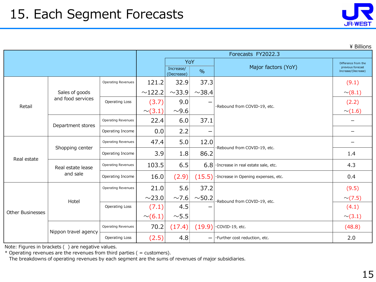| <b>JR-WEST</b> |  |
|----------------|--|

\ Billions

|                         |                      | Forecasts FY2022.3        |              |                         |               |                                      |                                          |
|-------------------------|----------------------|---------------------------|--------------|-------------------------|---------------|--------------------------------------|------------------------------------------|
|                         |                      |                           |              | YoY                     |               |                                      | Difference from the                      |
|                         |                      |                           |              | Increase/<br>(Decrease) | $\frac{0}{0}$ | Major factors (YoY)                  | previous forecast<br>Increase/(Decrease) |
|                         |                      | <b>Operating Revenues</b> | 121.2        | 32.9                    | 37.3          |                                      | (9.1)                                    |
|                         | Sales of goods       |                           | ~122.2       | $\sim$ 33.9             | ~1.38.4       |                                      | $\sim$ (8.1)                             |
| Retail                  | and food services    | Operating Loss            | (3.7)        | 9.0                     |               | ·Rebound from COVID-19, etc.         | (2.2)                                    |
|                         |                      |                           | $\sim$ (3.1) | $\sim$ 9.6              |               |                                      | $\sim$ (1.6)                             |
|                         | Department stores    | <b>Operating Revenues</b> | 22.4         | 6.0                     | 37.1          |                                      |                                          |
|                         |                      | Operating Income          | 0.0          | 2.2                     |               |                                      |                                          |
|                         |                      | <b>Operating Revenues</b> | 47.4         | 5.0                     | 12.0          |                                      |                                          |
|                         | Shopping center      | Operating Income          | 3.9          | 1.8                     | 86.2          | ·Rebound from COVID-19, etc.         | 1.4                                      |
| Real estate             | Real estate lease    | <b>Operating Revenues</b> | 103.5        | 6.5                     | 6.8           | · Increase in real estate sale, etc. | 4.3                                      |
|                         | and sale             | Operating Income          | 16.0         | (2.9)                   | (15.5)        | · Increase in Opening expenses, etc. | 0.4                                      |
|                         |                      | <b>Operating Revenues</b> |              | 5.6                     | 37.2          |                                      | (9.5)                                    |
|                         | Hotel                |                           | $\sim$ 23.0  | $\sim$ 7.6              | $\sim$ 50.2   | ·Rebound from COVID-19, etc.         | $\sim$ (7.5)                             |
| <b>Other Businesses</b> |                      | <b>Operating Loss</b>     | (7.1)        | 4.5                     |               |                                      | (4.1)                                    |
|                         |                      |                           | $\sim (6.1)$ | $\sim$ 5.5              |               |                                      | $\sim$ (3.1)                             |
|                         |                      | <b>Operating Revenues</b> | 70.2         | (17.4)                  | (19.9)        | ·COVID-19, etc.                      | (48.8)                                   |
|                         | Nippon travel agency | Operating Loss            | (2.5)        | 4.8                     | -             | ·Further cost reduction, etc.        | 2.0                                      |

Note: Figures in brackets ( ) are negative values.

\* Operating revenues are the revenues from third parties ( = customers).

The breakdowns of operating revenues by each segment are the sums of revenues of major subsidiaries.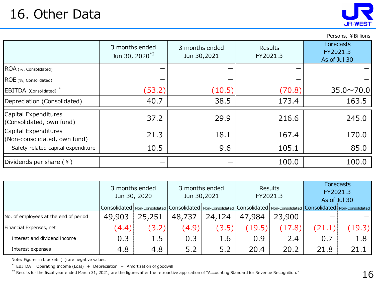Persons, ¥ Billions

|                                                      | 3 months ended<br>Jun 30, 2020 <sup>*2</sup> | 3 months ended<br>Jun 30,2021 | Results<br>FY2021.3 | Forecasts<br>FY2021.3<br>As of Jul 30 |
|------------------------------------------------------|----------------------------------------------|-------------------------------|---------------------|---------------------------------------|
| ROA (%, Consolidated)                                |                                              |                               |                     |                                       |
| ROE (%, Consolidated)                                |                                              |                               |                     |                                       |
| EBITDA (Consolidated) <sup>*1</sup>                  | (53.2)                                       | (10.5)                        | (70.8)              | $35.0 \sim 70.0$                      |
| Depreciation (Consolidated)                          | 40.7                                         | 38.5                          | 173.4               | 163.5                                 |
| Capital Expenditures<br>(Consolidated, own fund)     | 37.2                                         | 29.9                          | 216.6               | 245.0                                 |
| Capital Expenditures<br>(Non-consolidated, own fund) | 21.3                                         | 18.1                          | 167.4               | 170.0                                 |
| Safety related capital expenditure                   | 10.5                                         | 9.6                           | 105.1               | 85.0                                  |
| Dividends per share (¥)                              |                                              |                               | 100.0               | 100.0                                 |

|                                       | 3 months ended<br>Jun 30, 2020 |        | Jun 30,2021 | 3 months ended | Results<br>FY2021.3 |        | Forecasts<br>FY2021.3<br>As of Jul 30                                                                                                                    |        |
|---------------------------------------|--------------------------------|--------|-------------|----------------|---------------------|--------|----------------------------------------------------------------------------------------------------------------------------------------------------------|--------|
|                                       |                                |        |             |                |                     |        | Consolidated   Non-Consolidated   Consolidated   Non-Consolidated   Consolidated   Non-Consolidated   Consolidated   Non-Consolidated   Non-Consolidated |        |
| No. of employees at the end of period | 49,903                         | 25,251 | 48,737      | 24,124         | 47,984              | 23,900 |                                                                                                                                                          |        |
| Financial Expenses, net               | (4.4)                          | (3.2)  | (4.9)       | (3.5)          | (19.5)              | (17.8) | (21.1)                                                                                                                                                   | (19.3) |
| Interest and dividend income          | 0.3                            | 1.5    | 0.3         | 1.6            | 0.9                 | 2.4    | 0.7                                                                                                                                                      | 1.8    |
| Interest expenses                     | 4.8                            | 4.8    | 5.2         | 5.2            | 20.4                | 20.2   | 21.8                                                                                                                                                     | 21.1   |

Note: Figures in brackets ( ) are negative values.

 $*1$  EBITDA = Operating Income (Loss) + Depreciation + Amortization of goodwill